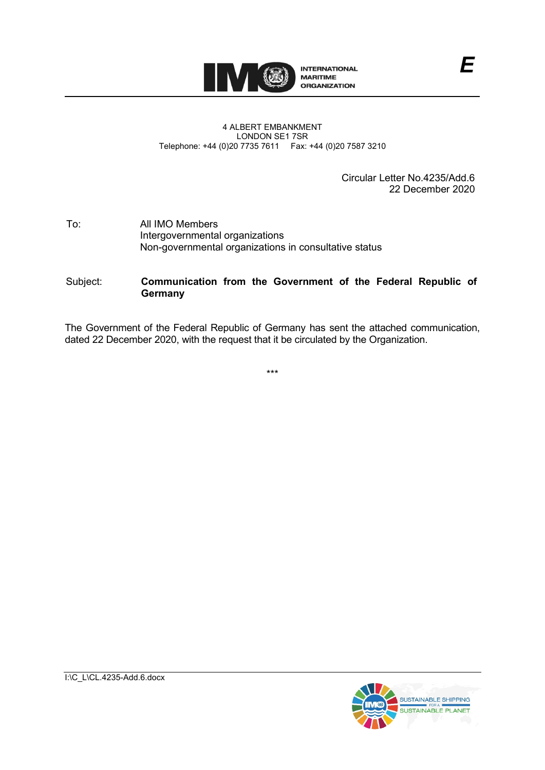

#### 4 ALBERT EMBANKMENT LONDON SE1 7SR Telephone: +44 (0)20 7735 7611 Fax: +44 (0)20 7587 3210

Circular Letter No.4235/Add.6 22 December 2020

#### To: All IMO Members Intergovernmental organizations Non-governmental organizations in consultative status

# Subject: **Communication from the Government of the Federal Republic of Germany**

The Government of the Federal Republic of Germany has sent the attached communication, dated 22 December 2020, with the request that it be circulated by the Organization.

\*\*\*

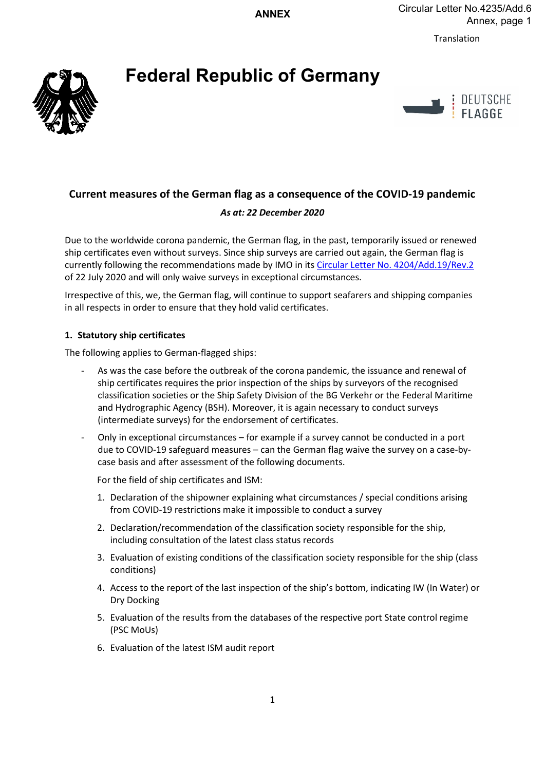**ANNEX**

Translation

# **Federal Republic of Germany**





# **Current measures of the German flag as a consequence of the COVID-19 pandemic**

# *As at: 22 December 2020*

Due to the worldwide corona pandemic, the German flag, in the past, temporarily issued or renewed ship certificates even without surveys. Since ship surveys are carried out again, the German flag is currently following the recommendations made by IMO in its Circular Letter No. 4204/Add.19/Rev.2 of 22 July 2020 and will only waive surveys in exceptional circumstances.

Irrespective of this, we, the German flag, will continue to support seafarers and shipping companies in all respects in order to ensure that they hold valid certificates.

# **1. Statutory ship certificates**

The following applies to German-flagged ships:

- As was the case before the outbreak of the corona pandemic, the issuance and renewal of ship certificates requires the prior inspection of the ships by surveyors of the recognised classification societies or the Ship Safety Division of the BG Verkehr or the Federal Maritime and Hydrographic Agency (BSH). Moreover, it is again necessary to conduct surveys (intermediate surveys) for the endorsement of certificates.
- Only in exceptional circumstances for example if a survey cannot be conducted in a port due to COVID-19 safeguard measures – can the German flag waive the survey on a case-bycase basis and after assessment of the following documents.

For the field of ship certificates and ISM:

- 1. Declaration of the shipowner explaining what circumstances / special conditions arising from COVID-19 restrictions make it impossible to conduct a survey
- 2. Declaration/recommendation of the classification society responsible for the ship, including consultation of the latest class status records
- 3. Evaluation of existing conditions of the classification society responsible for the ship (class conditions)
- 4. Access to the report of the last inspection of the ship's bottom, indicating IW (In Water) or Dry Docking
- 5. Evaluation of the results from the databases of the respective port State control regime (PSC MoUs)
- 6. Evaluation of the latest ISM audit report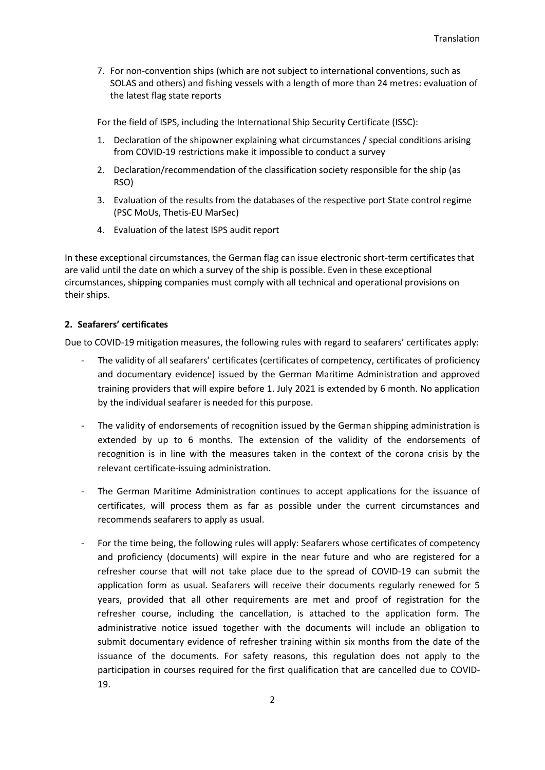7. For non-convention ships (which are not subject to international conventions, such as SOLAS and others) and fishing vessels with a length of more than 24 metres: evaluation of the latest flag state reports

For the field of ISPS, including the International Ship Security Certificate (ISSC):

- 1. Declaration of the shipowner explaining what circumstances / special conditions arising from COVID-19 restrictions make it impossible to conduct a survey
- 2. Declaration/recommendation of the classification society responsible for the ship (as RSO)
- 3. Evaluation of the results from the databases of the respective port State control regime (PSC MoUs, Thetis-EU MarSec)
- 4. Evaluation of the latest ISPS audit report

In these exceptional circumstances, the German flag can issue electronic short-term certificates that are valid until the date on which a survey of the ship is possible. Even in these exceptional circumstances, shipping companies must comply with all technical and operational provisions on their ships.

## **2. Seafarers' certificates**

Due to COVID-19 mitigation measures, the following rules with regard to seafarers' certificates apply:

- The validity of all seafarers' certificates (certificates of competency, certificates of proficiency and documentary evidence) issued by the German Maritime Administration and approved training providers that will expire before 1. July 2021 is extended by 6 month. No application by the individual seafarer is needed for this purpose.
- The validity of endorsements of recognition issued by the German shipping administration is extended by up to 6 months. The extension of the validity of the endorsements of recognition is in line with the measures taken in the context of the corona crisis by the relevant certificate-issuing administration.
- The German Maritime Administration continues to accept applications for the issuance of certificates, will process them as far as possible under the current circumstances and recommends seafarers to apply as usual.
- For the time being, the following rules will apply: Seafarers whose certificates of competency and proficiency (documents) will expire in the near future and who are registered for a refresher course that will not take place due to the spread of COVID-19 can submit the application form as usual. Seafarers will receive their documents regularly renewed for 5 years, provided that all other requirements are met and proof of registration for the refresher course, including the cancellation, is attached to the application form. The administrative notice issued together with the documents will include an obligation to submit documentary evidence of refresher training within six months from the date of the issuance of the documents. For safety reasons, this regulation does not apply to the participation in courses required for the first qualification that are cancelled due to COVID-19.